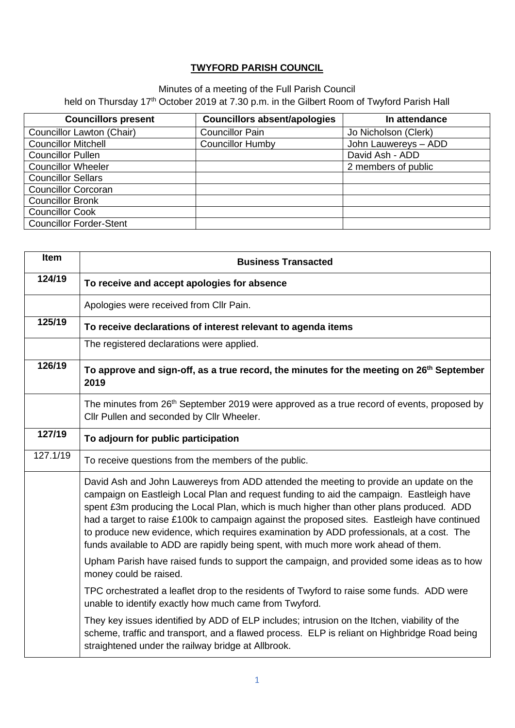# **TWYFORD PARISH COUNCIL**

## Minutes of a meeting of the Full Parish Council held on Thursday 17<sup>th</sup> October 2019 at 7.30 p.m. in the Gilbert Room of Twyford Parish Hall

| <b>Councillors present</b>     | <b>Councillors absent/apologies</b> | In attendance        |
|--------------------------------|-------------------------------------|----------------------|
| Councillor Lawton (Chair)      | <b>Councillor Pain</b>              | Jo Nicholson (Clerk) |
| <b>Councillor Mitchell</b>     | <b>Councillor Humby</b>             | John Lauwereys - ADD |
| <b>Councillor Pullen</b>       |                                     | David Ash - ADD      |
| <b>Councillor Wheeler</b>      |                                     | 2 members of public  |
| <b>Councillor Sellars</b>      |                                     |                      |
| <b>Councillor Corcoran</b>     |                                     |                      |
| <b>Councillor Bronk</b>        |                                     |                      |
| <b>Councillor Cook</b>         |                                     |                      |
| <b>Councillor Forder-Stent</b> |                                     |                      |

| Item     | <b>Business Transacted</b>                                                                                                                                                                                                                                                                                                                                                                                                                                                                                                                                      |  |
|----------|-----------------------------------------------------------------------------------------------------------------------------------------------------------------------------------------------------------------------------------------------------------------------------------------------------------------------------------------------------------------------------------------------------------------------------------------------------------------------------------------------------------------------------------------------------------------|--|
| 124/19   | To receive and accept apologies for absence                                                                                                                                                                                                                                                                                                                                                                                                                                                                                                                     |  |
|          | Apologies were received from Cllr Pain.                                                                                                                                                                                                                                                                                                                                                                                                                                                                                                                         |  |
| 125/19   | To receive declarations of interest relevant to agenda items                                                                                                                                                                                                                                                                                                                                                                                                                                                                                                    |  |
|          | The registered declarations were applied.                                                                                                                                                                                                                                                                                                                                                                                                                                                                                                                       |  |
| 126/19   | To approve and sign-off, as a true record, the minutes for the meeting on 26 <sup>th</sup> September<br>2019                                                                                                                                                                                                                                                                                                                                                                                                                                                    |  |
|          | The minutes from 26 <sup>th</sup> September 2019 were approved as a true record of events, proposed by<br>Cllr Pullen and seconded by Cllr Wheeler.                                                                                                                                                                                                                                                                                                                                                                                                             |  |
| 127/19   | To adjourn for public participation                                                                                                                                                                                                                                                                                                                                                                                                                                                                                                                             |  |
| 127.1/19 | To receive questions from the members of the public.                                                                                                                                                                                                                                                                                                                                                                                                                                                                                                            |  |
|          | David Ash and John Lauwereys from ADD attended the meeting to provide an update on the<br>campaign on Eastleigh Local Plan and request funding to aid the campaign. Eastleigh have<br>spent £3m producing the Local Plan, which is much higher than other plans produced. ADD<br>had a target to raise £100k to campaign against the proposed sites. Eastleigh have continued<br>to produce new evidence, which requires examination by ADD professionals, at a cost. The<br>funds available to ADD are rapidly being spent, with much more work ahead of them. |  |
|          | Upham Parish have raised funds to support the campaign, and provided some ideas as to how<br>money could be raised.                                                                                                                                                                                                                                                                                                                                                                                                                                             |  |
|          | TPC orchestrated a leaflet drop to the residents of Twyford to raise some funds. ADD were<br>unable to identify exactly how much came from Twyford.                                                                                                                                                                                                                                                                                                                                                                                                             |  |
|          | They key issues identified by ADD of ELP includes; intrusion on the Itchen, viability of the<br>scheme, traffic and transport, and a flawed process. ELP is reliant on Highbridge Road being<br>straightened under the railway bridge at Allbrook.                                                                                                                                                                                                                                                                                                              |  |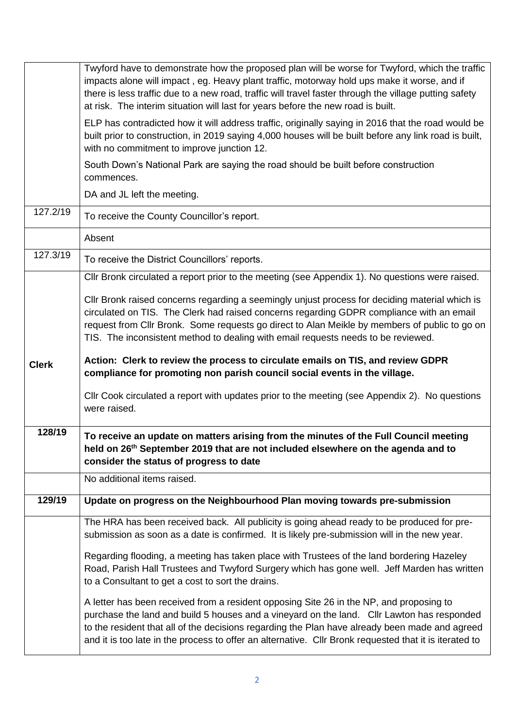|              | Twyford have to demonstrate how the proposed plan will be worse for Twyford, which the traffic<br>impacts alone will impact, eg. Heavy plant traffic, motorway hold ups make it worse, and if<br>there is less traffic due to a new road, traffic will travel faster through the village putting safety<br>at risk. The interim situation will last for years before the new road is built. |
|--------------|---------------------------------------------------------------------------------------------------------------------------------------------------------------------------------------------------------------------------------------------------------------------------------------------------------------------------------------------------------------------------------------------|
|              | ELP has contradicted how it will address traffic, originally saying in 2016 that the road would be<br>built prior to construction, in 2019 saying 4,000 houses will be built before any link road is built,<br>with no commitment to improve junction 12.                                                                                                                                   |
|              | South Down's National Park are saying the road should be built before construction<br>commences.                                                                                                                                                                                                                                                                                            |
|              | DA and JL left the meeting.                                                                                                                                                                                                                                                                                                                                                                 |
| 127.2/19     | To receive the County Councillor's report.                                                                                                                                                                                                                                                                                                                                                  |
|              | Absent                                                                                                                                                                                                                                                                                                                                                                                      |
| 127.3/19     | To receive the District Councillors' reports.                                                                                                                                                                                                                                                                                                                                               |
|              | Cllr Bronk circulated a report prior to the meeting (see Appendix 1). No questions were raised.                                                                                                                                                                                                                                                                                             |
|              | CIIr Bronk raised concerns regarding a seemingly unjust process for deciding material which is                                                                                                                                                                                                                                                                                              |
|              | circulated on TIS. The Clerk had raised concerns regarding GDPR compliance with an email                                                                                                                                                                                                                                                                                                    |
|              | request from Cllr Bronk. Some requests go direct to Alan Meikle by members of public to go on<br>TIS. The inconsistent method to dealing with email requests needs to be reviewed.                                                                                                                                                                                                          |
|              |                                                                                                                                                                                                                                                                                                                                                                                             |
| <b>Clerk</b> | Action: Clerk to review the process to circulate emails on TIS, and review GDPR<br>compliance for promoting non parish council social events in the village.                                                                                                                                                                                                                                |
|              | CIIr Cook circulated a report with updates prior to the meeting (see Appendix 2). No questions<br>were raised.                                                                                                                                                                                                                                                                              |
|              |                                                                                                                                                                                                                                                                                                                                                                                             |
| 128/19       | To receive an update on matters arising from the minutes of the Full Council meeting<br>held on 26 <sup>th</sup> September 2019 that are not included elsewhere on the agenda and to<br>consider the status of progress to date                                                                                                                                                             |
|              | No additional items raised.                                                                                                                                                                                                                                                                                                                                                                 |
| 129/19       | Update on progress on the Neighbourhood Plan moving towards pre-submission                                                                                                                                                                                                                                                                                                                  |
|              | The HRA has been received back. All publicity is going ahead ready to be produced for pre-<br>submission as soon as a date is confirmed. It is likely pre-submission will in the new year.                                                                                                                                                                                                  |
|              | Regarding flooding, a meeting has taken place with Trustees of the land bordering Hazeley<br>Road, Parish Hall Trustees and Twyford Surgery which has gone well. Jeff Marden has written<br>to a Consultant to get a cost to sort the drains.                                                                                                                                               |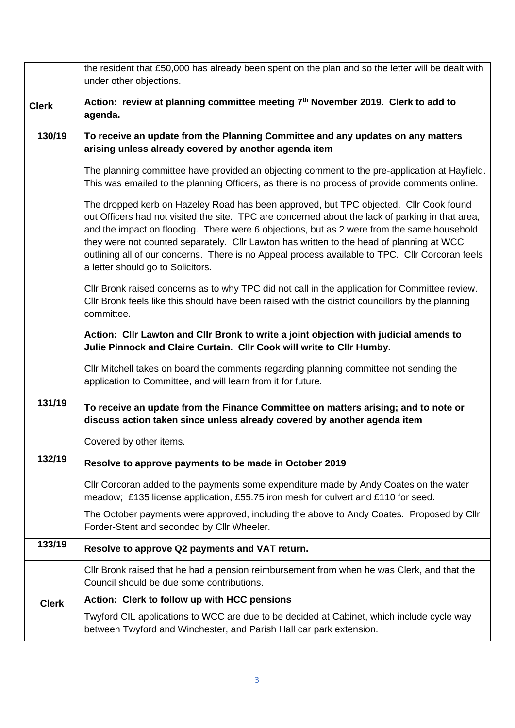|              | the resident that £50,000 has already been spent on the plan and so the letter will be dealt with<br>under other objections.                                                                                                                                                                                                                                                                                                                                                                                                |  |
|--------------|-----------------------------------------------------------------------------------------------------------------------------------------------------------------------------------------------------------------------------------------------------------------------------------------------------------------------------------------------------------------------------------------------------------------------------------------------------------------------------------------------------------------------------|--|
| <b>Clerk</b> | Action: review at planning committee meeting 7th November 2019. Clerk to add to<br>agenda.                                                                                                                                                                                                                                                                                                                                                                                                                                  |  |
| 130/19       | To receive an update from the Planning Committee and any updates on any matters<br>arising unless already covered by another agenda item                                                                                                                                                                                                                                                                                                                                                                                    |  |
|              | The planning committee have provided an objecting comment to the pre-application at Hayfield.<br>This was emailed to the planning Officers, as there is no process of provide comments online.                                                                                                                                                                                                                                                                                                                              |  |
|              | The dropped kerb on Hazeley Road has been approved, but TPC objected. Cllr Cook found<br>out Officers had not visited the site. TPC are concerned about the lack of parking in that area,<br>and the impact on flooding. There were 6 objections, but as 2 were from the same household<br>they were not counted separately. Cllr Lawton has written to the head of planning at WCC<br>outlining all of our concerns. There is no Appeal process available to TPC. Cllr Corcoran feels<br>a letter should go to Solicitors. |  |
|              | Cllr Bronk raised concerns as to why TPC did not call in the application for Committee review.<br>Cllr Bronk feels like this should have been raised with the district councillors by the planning<br>committee.                                                                                                                                                                                                                                                                                                            |  |
|              | Action: Cllr Lawton and Cllr Bronk to write a joint objection with judicial amends to<br>Julie Pinnock and Claire Curtain. Cllr Cook will write to Cllr Humby.                                                                                                                                                                                                                                                                                                                                                              |  |
|              | Cllr Mitchell takes on board the comments regarding planning committee not sending the<br>application to Committee, and will learn from it for future.                                                                                                                                                                                                                                                                                                                                                                      |  |
| 131/19       | To receive an update from the Finance Committee on matters arising; and to note or<br>discuss action taken since unless already covered by another agenda item                                                                                                                                                                                                                                                                                                                                                              |  |
|              | Covered by other items.                                                                                                                                                                                                                                                                                                                                                                                                                                                                                                     |  |
| 132/19       | Resolve to approve payments to be made in October 2019                                                                                                                                                                                                                                                                                                                                                                                                                                                                      |  |
|              | Cllr Corcoran added to the payments some expenditure made by Andy Coates on the water<br>meadow; £135 license application, £55.75 iron mesh for culvert and £110 for seed.                                                                                                                                                                                                                                                                                                                                                  |  |
|              | The October payments were approved, including the above to Andy Coates. Proposed by Cllr<br>Forder-Stent and seconded by Cllr Wheeler.                                                                                                                                                                                                                                                                                                                                                                                      |  |
| 133/19       | Resolve to approve Q2 payments and VAT return.                                                                                                                                                                                                                                                                                                                                                                                                                                                                              |  |
|              | CIIr Bronk raised that he had a pension reimbursement from when he was Clerk, and that the<br>Council should be due some contributions.                                                                                                                                                                                                                                                                                                                                                                                     |  |
| <b>Clerk</b> | Action: Clerk to follow up with HCC pensions                                                                                                                                                                                                                                                                                                                                                                                                                                                                                |  |
|              | Twyford CIL applications to WCC are due to be decided at Cabinet, which include cycle way<br>between Twyford and Winchester, and Parish Hall car park extension.                                                                                                                                                                                                                                                                                                                                                            |  |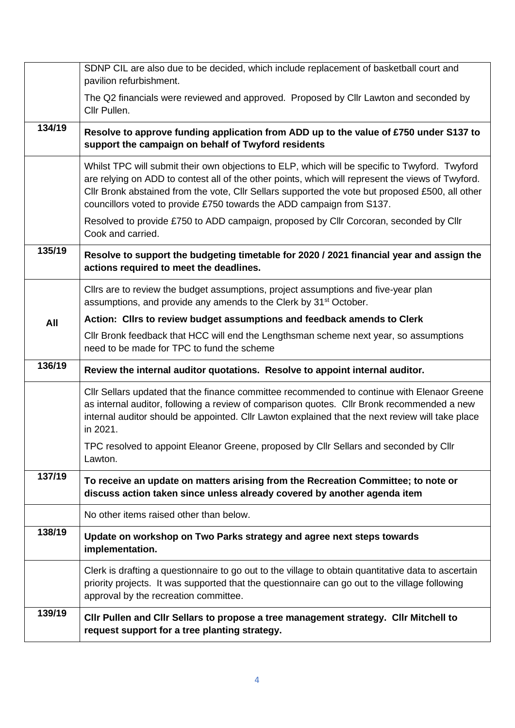|        | SDNP CIL are also due to be decided, which include replacement of basketball court and<br>pavilion refurbishment.                                                                                                                                                                                                                                                                |
|--------|----------------------------------------------------------------------------------------------------------------------------------------------------------------------------------------------------------------------------------------------------------------------------------------------------------------------------------------------------------------------------------|
|        | The Q2 financials were reviewed and approved. Proposed by Cllr Lawton and seconded by<br>Cllr Pullen.                                                                                                                                                                                                                                                                            |
| 134/19 | Resolve to approve funding application from ADD up to the value of £750 under S137 to<br>support the campaign on behalf of Twyford residents                                                                                                                                                                                                                                     |
|        | Whilst TPC will submit their own objections to ELP, which will be specific to Twyford. Twyford<br>are relying on ADD to contest all of the other points, which will represent the views of Twyford.<br>Cllr Bronk abstained from the vote, Cllr Sellars supported the vote but proposed £500, all other<br>councillors voted to provide £750 towards the ADD campaign from S137. |
|        | Resolved to provide £750 to ADD campaign, proposed by Cllr Corcoran, seconded by Cllr<br>Cook and carried.                                                                                                                                                                                                                                                                       |
| 135/19 | Resolve to support the budgeting timetable for 2020 / 2021 financial year and assign the<br>actions required to meet the deadlines.                                                                                                                                                                                                                                              |
|        | Cllrs are to review the budget assumptions, project assumptions and five-year plan<br>assumptions, and provide any amends to the Clerk by 31 <sup>st</sup> October.                                                                                                                                                                                                              |
| All    | Action: Cllrs to review budget assumptions and feedback amends to Clerk                                                                                                                                                                                                                                                                                                          |
|        | CIIr Bronk feedback that HCC will end the Lengthsman scheme next year, so assumptions<br>need to be made for TPC to fund the scheme                                                                                                                                                                                                                                              |
| 136/19 | Review the internal auditor quotations. Resolve to appoint internal auditor.                                                                                                                                                                                                                                                                                                     |
|        | CIIr Sellars updated that the finance committee recommended to continue with Elenaor Greene<br>as internal auditor, following a review of comparison quotes. Cllr Bronk recommended a new<br>internal auditor should be appointed. Cllr Lawton explained that the next review will take place<br>in 2021.                                                                        |
|        | TPC resolved to appoint Eleanor Greene, proposed by Cllr Sellars and seconded by Cllr<br>Lawton.                                                                                                                                                                                                                                                                                 |
| 137/19 | To receive an update on matters arising from the Recreation Committee; to note or<br>discuss action taken since unless already covered by another agenda item                                                                                                                                                                                                                    |
|        | No other items raised other than below.                                                                                                                                                                                                                                                                                                                                          |
| 138/19 | Update on workshop on Two Parks strategy and agree next steps towards<br>implementation.                                                                                                                                                                                                                                                                                         |
|        | Clerk is drafting a questionnaire to go out to the village to obtain quantitative data to ascertain<br>priority projects. It was supported that the questionnaire can go out to the village following<br>approval by the recreation committee.                                                                                                                                   |
| 139/19 | CIIr Pullen and CIIr Sellars to propose a tree management strategy. CIIr Mitchell to<br>request support for a tree planting strategy.                                                                                                                                                                                                                                            |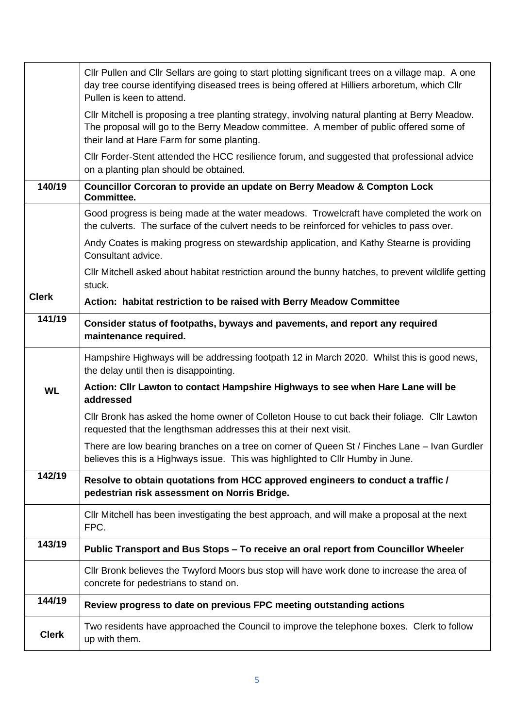|              | CIIr Pullen and CIIr Sellars are going to start plotting significant trees on a village map. A one<br>day tree course identifying diseased trees is being offered at Hilliers arboretum, which Cllr<br>Pullen is keen to attend.         |
|--------------|------------------------------------------------------------------------------------------------------------------------------------------------------------------------------------------------------------------------------------------|
|              | CIIr Mitchell is proposing a tree planting strategy, involving natural planting at Berry Meadow.<br>The proposal will go to the Berry Meadow committee. A member of public offered some of<br>their land at Hare Farm for some planting. |
|              | CIIr Forder-Stent attended the HCC resilience forum, and suggested that professional advice<br>on a planting plan should be obtained.                                                                                                    |
| 140/19       | Councillor Corcoran to provide an update on Berry Meadow & Compton Lock<br><b>Committee.</b>                                                                                                                                             |
|              | Good progress is being made at the water meadows. Trowelcraft have completed the work on<br>the culverts. The surface of the culvert needs to be reinforced for vehicles to pass over.                                                   |
|              | Andy Coates is making progress on stewardship application, and Kathy Stearne is providing<br>Consultant advice.                                                                                                                          |
|              | CIIr Mitchell asked about habitat restriction around the bunny hatches, to prevent wildlife getting<br>stuck.                                                                                                                            |
| <b>Clerk</b> | Action: habitat restriction to be raised with Berry Meadow Committee                                                                                                                                                                     |
| 141/19       | Consider status of footpaths, byways and pavements, and report any required<br>maintenance required.                                                                                                                                     |
|              | Hampshire Highways will be addressing footpath 12 in March 2020. Whilst this is good news,<br>the delay until then is disappointing.                                                                                                     |
| <b>WL</b>    | Action: Cllr Lawton to contact Hampshire Highways to see when Hare Lane will be<br>addressed                                                                                                                                             |
|              | CIIr Bronk has asked the home owner of Colleton House to cut back their foliage. CIIr Lawton<br>requested that the lengthsman addresses this at their next visit.                                                                        |
|              | There are low bearing branches on a tree on corner of Queen St / Finches Lane - Ivan Gurdler<br>believes this is a Highways issue. This was highlighted to Cllr Humby in June.                                                           |
| 142/19       | Resolve to obtain quotations from HCC approved engineers to conduct a traffic /<br>pedestrian risk assessment on Norris Bridge.                                                                                                          |
|              | CIIr Mitchell has been investigating the best approach, and will make a proposal at the next<br>FPC.                                                                                                                                     |
| 143/19       | Public Transport and Bus Stops - To receive an oral report from Councillor Wheeler                                                                                                                                                       |
|              | CIIr Bronk believes the Twyford Moors bus stop will have work done to increase the area of<br>concrete for pedestrians to stand on.                                                                                                      |
| 144/19       | Review progress to date on previous FPC meeting outstanding actions                                                                                                                                                                      |
| <b>Clerk</b> | Two residents have approached the Council to improve the telephone boxes. Clerk to follow<br>up with them.                                                                                                                               |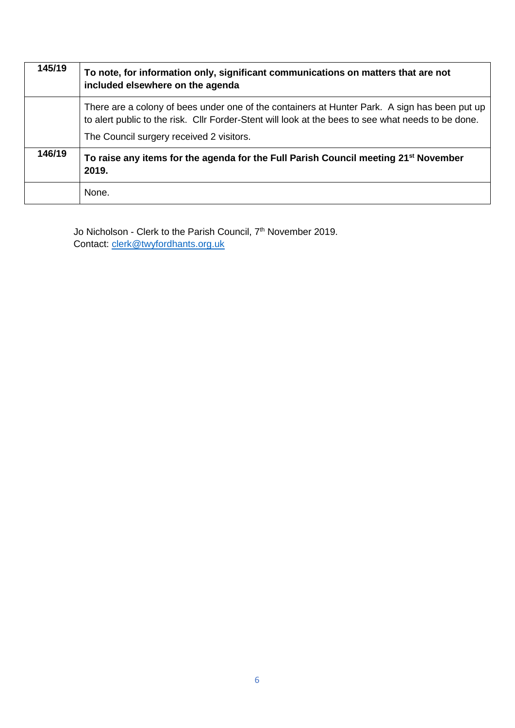| 145/19 | To note, for information only, significant communications on matters that are not<br>included elsewhere on the agenda                                                                                                                           |
|--------|-------------------------------------------------------------------------------------------------------------------------------------------------------------------------------------------------------------------------------------------------|
|        | There are a colony of bees under one of the containers at Hunter Park. A sign has been put up<br>to alert public to the risk. Cllr Forder-Stent will look at the bees to see what needs to be done.<br>The Council surgery received 2 visitors. |
| 146/19 | To raise any items for the agenda for the Full Parish Council meeting 21 <sup>st</sup> November<br>2019.                                                                                                                                        |
|        | None.                                                                                                                                                                                                                                           |

Jo Nicholson - Clerk to the Parish Council, 7<sup>th</sup> November 2019. Contact: [clerk@twyfordhants.org.uk](mailto:clerk@twyfordhants.org.uk)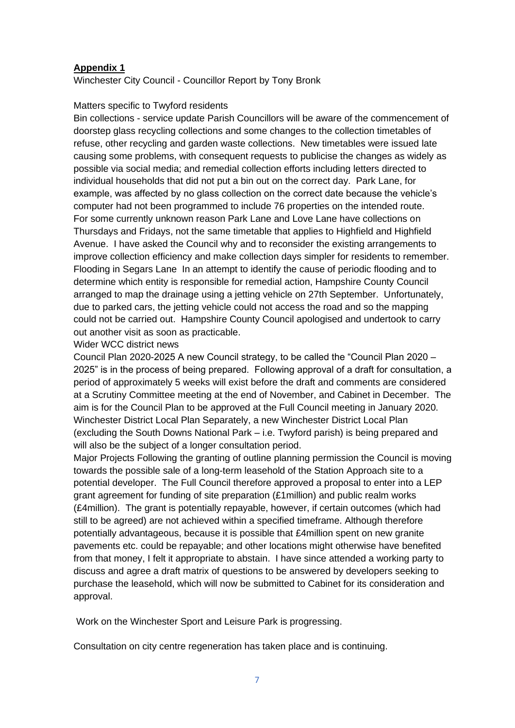## **Appendix 1**

Winchester City Council - Councillor Report by Tony Bronk

### Matters specific to Twyford residents

Bin collections - service update Parish Councillors will be aware of the commencement of doorstep glass recycling collections and some changes to the collection timetables of refuse, other recycling and garden waste collections. New timetables were issued late causing some problems, with consequent requests to publicise the changes as widely as possible via social media; and remedial collection efforts including letters directed to individual households that did not put a bin out on the correct day. Park Lane, for example, was affected by no glass collection on the correct date because the vehicle's computer had not been programmed to include 76 properties on the intended route. For some currently unknown reason Park Lane and Love Lane have collections on Thursdays and Fridays, not the same timetable that applies to Highfield and Highfield Avenue. I have asked the Council why and to reconsider the existing arrangements to improve collection efficiency and make collection days simpler for residents to remember. Flooding in Segars Lane In an attempt to identify the cause of periodic flooding and to determine which entity is responsible for remedial action, Hampshire County Council arranged to map the drainage using a jetting vehicle on 27th September. Unfortunately, due to parked cars, the jetting vehicle could not access the road and so the mapping could not be carried out. Hampshire County Council apologised and undertook to carry out another visit as soon as practicable.

#### Wider WCC district news

Council Plan 2020-2025 A new Council strategy, to be called the "Council Plan 2020 – 2025" is in the process of being prepared. Following approval of a draft for consultation, a period of approximately 5 weeks will exist before the draft and comments are considered at a Scrutiny Committee meeting at the end of November, and Cabinet in December. The aim is for the Council Plan to be approved at the Full Council meeting in January 2020. Winchester District Local Plan Separately, a new Winchester District Local Plan (excluding the South Downs National Park – i.e. Twyford parish) is being prepared and will also be the subject of a longer consultation period.

Major Projects Following the granting of outline planning permission the Council is moving towards the possible sale of a long-term leasehold of the Station Approach site to a potential developer. The Full Council therefore approved a proposal to enter into a LEP grant agreement for funding of site preparation (£1million) and public realm works (£4million). The grant is potentially repayable, however, if certain outcomes (which had still to be agreed) are not achieved within a specified timeframe. Although therefore potentially advantageous, because it is possible that £4million spent on new granite pavements etc. could be repayable; and other locations might otherwise have benefited from that money, I felt it appropriate to abstain. I have since attended a working party to discuss and agree a draft matrix of questions to be answered by developers seeking to purchase the leasehold, which will now be submitted to Cabinet for its consideration and approval.

Work on the Winchester Sport and Leisure Park is progressing.

Consultation on city centre regeneration has taken place and is continuing.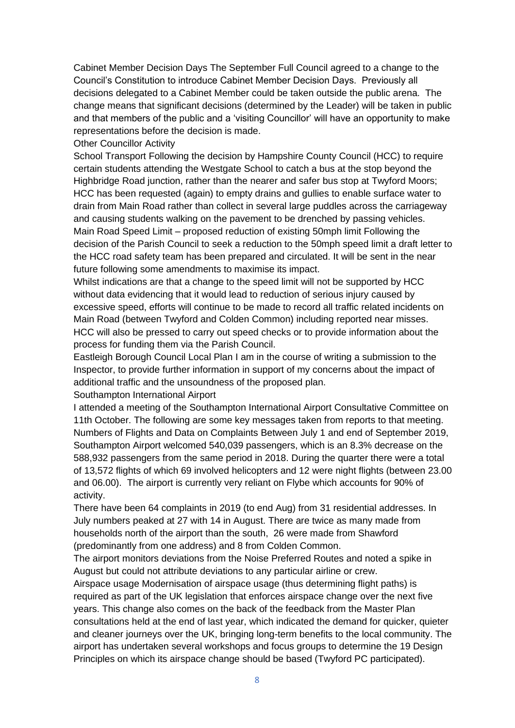Cabinet Member Decision Days The September Full Council agreed to a change to the Council's Constitution to introduce Cabinet Member Decision Days. Previously all decisions delegated to a Cabinet Member could be taken outside the public arena. The change means that significant decisions (determined by the Leader) will be taken in public and that members of the public and a 'visiting Councillor' will have an opportunity to make representations before the decision is made.

#### Other Councillor Activity

School Transport Following the decision by Hampshire County Council (HCC) to require certain students attending the Westgate School to catch a bus at the stop beyond the Highbridge Road junction, rather than the nearer and safer bus stop at Twyford Moors; HCC has been requested (again) to empty drains and gullies to enable surface water to drain from Main Road rather than collect in several large puddles across the carriageway and causing students walking on the pavement to be drenched by passing vehicles. Main Road Speed Limit – proposed reduction of existing 50mph limit Following the decision of the Parish Council to seek a reduction to the 50mph speed limit a draft letter to the HCC road safety team has been prepared and circulated. It will be sent in the near future following some amendments to maximise its impact.

Whilst indications are that a change to the speed limit will not be supported by HCC without data evidencing that it would lead to reduction of serious injury caused by excessive speed, efforts will continue to be made to record all traffic related incidents on Main Road (between Twyford and Colden Common) including reported near misses. HCC will also be pressed to carry out speed checks or to provide information about the process for funding them via the Parish Council.

Eastleigh Borough Council Local Plan I am in the course of writing a submission to the Inspector, to provide further information in support of my concerns about the impact of additional traffic and the unsoundness of the proposed plan.

Southampton International Airport

I attended a meeting of the Southampton International Airport Consultative Committee on 11th October. The following are some key messages taken from reports to that meeting. Numbers of Flights and Data on Complaints Between July 1 and end of September 2019, Southampton Airport welcomed 540,039 passengers, which is an 8.3% decrease on the 588,932 passengers from the same period in 2018. During the quarter there were a total of 13,572 flights of which 69 involved helicopters and 12 were night flights (between 23.00 and 06.00). The airport is currently very reliant on Flybe which accounts for 90% of activity.

There have been 64 complaints in 2019 (to end Aug) from 31 residential addresses. In July numbers peaked at 27 with 14 in August. There are twice as many made from households north of the airport than the south, 26 were made from Shawford (predominantly from one address) and 8 from Colden Common.

The airport monitors deviations from the Noise Preferred Routes and noted a spike in August but could not attribute deviations to any particular airline or crew.

Airspace usage Modernisation of airspace usage (thus determining flight paths) is required as part of the UK legislation that enforces airspace change over the next five years. This change also comes on the back of the feedback from the Master Plan consultations held at the end of last year, which indicated the demand for quicker, quieter and cleaner journeys over the UK, bringing long-term benefits to the local community. The airport has undertaken several workshops and focus groups to determine the 19 Design Principles on which its airspace change should be based (Twyford PC participated).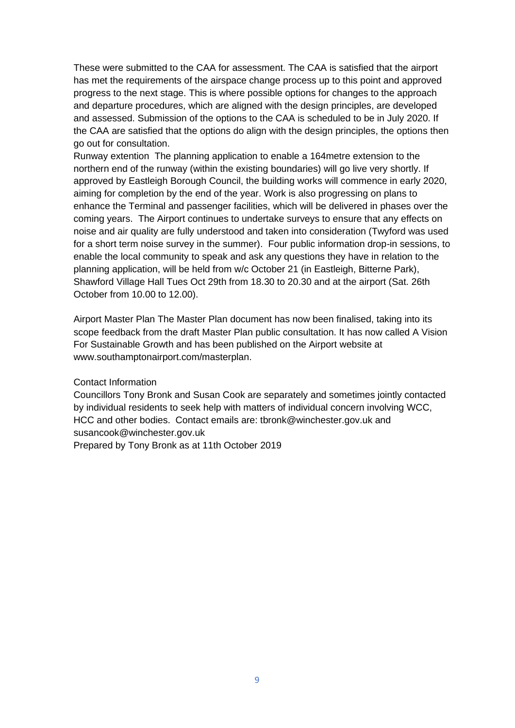These were submitted to the CAA for assessment. The CAA is satisfied that the airport has met the requirements of the airspace change process up to this point and approved progress to the next stage. This is where possible options for changes to the approach and departure procedures, which are aligned with the design principles, are developed and assessed. Submission of the options to the CAA is scheduled to be in July 2020. If the CAA are satisfied that the options do align with the design principles, the options then go out for consultation.

Runway extention The planning application to enable a 164metre extension to the northern end of the runway (within the existing boundaries) will go live very shortly. If approved by Eastleigh Borough Council, the building works will commence in early 2020, aiming for completion by the end of the year. Work is also progressing on plans to enhance the Terminal and passenger facilities, which will be delivered in phases over the coming years. The Airport continues to undertake surveys to ensure that any effects on noise and air quality are fully understood and taken into consideration (Twyford was used for a short term noise survey in the summer). Four public information drop-in sessions, to enable the local community to speak and ask any questions they have in relation to the planning application, will be held from w/c October 21 (in Eastleigh, Bitterne Park), Shawford Village Hall Tues Oct 29th from 18.30 to 20.30 and at the airport (Sat. 26th October from 10.00 to 12.00).

Airport Master Plan The Master Plan document has now been finalised, taking into its scope feedback from the draft Master Plan public consultation. It has now called A Vision For Sustainable Growth and has been published on the Airport website at www.southamptonairport.com/masterplan.

### Contact Information

Councillors Tony Bronk and Susan Cook are separately and sometimes jointly contacted by individual residents to seek help with matters of individual concern involving WCC, HCC and other bodies. Contact emails are: tbronk@winchester.gov.uk and susancook@winchester.gov.uk

Prepared by Tony Bronk as at 11th October 2019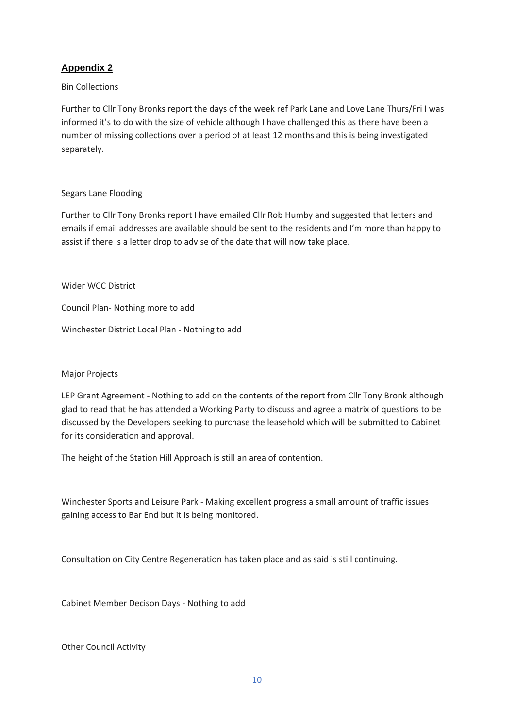## **Appendix 2**

### Bin Collections

Further to Cllr Tony Bronks report the days of the week ref Park Lane and Love Lane Thurs/Fri I was informed it's to do with the size of vehicle although I have challenged this as there have been a number of missing collections over a period of at least 12 months and this is being investigated separately.

#### Segars Lane Flooding

Further to Cllr Tony Bronks report I have emailed Cllr Rob Humby and suggested that letters and emails if email addresses are available should be sent to the residents and I'm more than happy to assist if there is a letter drop to advise of the date that will now take place.

Wider WCC District

Council Plan- Nothing more to add

Winchester District Local Plan - Nothing to add

### Major Projects

LEP Grant Agreement - Nothing to add on the contents of the report from Cllr Tony Bronk although glad to read that he has attended a Working Party to discuss and agree a matrix of questions to be discussed by the Developers seeking to purchase the leasehold which will be submitted to Cabinet for its consideration and approval.

The height of the Station Hill Approach is still an area of contention.

Winchester Sports and Leisure Park - Making excellent progress a small amount of traffic issues gaining access to Bar End but it is being monitored.

Consultation on City Centre Regeneration has taken place and as said is still continuing.

Cabinet Member Decison Days - Nothing to add

Other Council Activity